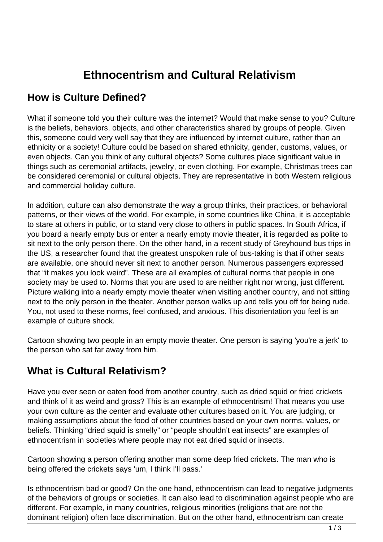## **Ethnocentrism and Cultural Relativism**

## **How is Culture Defined?**

What if someone told you their culture was the internet? Would that make sense to you? Culture is the beliefs, behaviors, objects, and other characteristics shared by groups of people. Given this, someone could very well say that they are influenced by internet culture, rather than an ethnicity or a society! Culture could be based on shared ethnicity, gender, customs, values, or even objects. Can you think of any cultural objects? Some cultures place significant value in things such as ceremonial artifacts, jewelry, or even clothing. For example, Christmas trees can be considered ceremonial or cultural objects. They are representative in both Western religious and commercial holiday culture.

In addition, culture can also demonstrate the way a group thinks, their practices, or behavioral patterns, or their views of the world. For example, in some countries like China, it is acceptable to stare at others in public, or to stand very close to others in public spaces. In South Africa, if you board a nearly empty bus or enter a nearly empty movie theater, it is regarded as polite to sit next to the only person there. On the other hand, in a recent study of Greyhound bus trips in the US, a researcher found that the greatest unspoken rule of bus-taking is that if other seats are available, one should never sit next to another person. Numerous passengers expressed that "it makes you look weird". These are all examples of cultural norms that people in one society may be used to. Norms that you are used to are neither right nor wrong, just different. Picture walking into a nearly empty movie theater when visiting another country, and not sitting next to the only person in the theater. Another person walks up and tells you off for being rude. You, not used to these norms, feel confused, and anxious. This disorientation you feel is an example of culture shock.

Cartoon showing two people in an empty movie theater. One person is saying 'you're a jerk' to the person who sat far away from him.

## **What is Cultural Relativism?**

Have you ever seen or eaten food from another country, such as dried squid or fried crickets and think of it as weird and gross? This is an example of ethnocentrism! That means you use your own culture as the center and evaluate other cultures based on it. You are judging, or making assumptions about the food of other countries based on your own norms, values, or beliefs. Thinking "dried squid is smelly" or "people shouldn't eat insects" are examples of ethnocentrism in societies where people may not eat dried squid or insects.

Cartoon showing a person offering another man some deep fried crickets. The man who is being offered the crickets says 'um, I think I'll pass.'

Is ethnocentrism bad or good? On the one hand, ethnocentrism can lead to negative judgments of the behaviors of groups or societies. It can also lead to discrimination against people who are different. For example, in many countries, religious minorities (religions that are not the dominant religion) often face discrimination. But on the other hand, ethnocentrism can create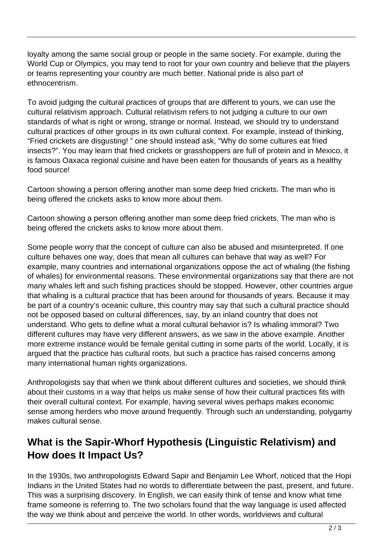loyalty among the same social group or people in the same society. For example, during the World Cup or Olympics, you may tend to root for your own country and believe that the players or teams representing your country are much better. National pride is also part of ethnocentrism.

To avoid judging the cultural practices of groups that are different to yours, we can use the cultural relativism approach. Cultural relativism refers to not judging a culture to our own standards of what is right or wrong, strange or normal. Instead, we should try to understand cultural practices of other groups in its own cultural context. For example, instead of thinking, "Fried crickets are disgusting! " one should instead ask, "Why do some cultures eat fried insects?". You may learn that fried crickets or grasshoppers are full of protein and in Mexico, it is famous Oaxaca regional cuisine and have been eaten for thousands of years as a healthy food source!

Cartoon showing a person offering another man some deep fried crickets. The man who is being offered the crickets asks to know more about them.

Cartoon showing a person offering another man some deep fried crickets. The man who is being offered the crickets asks to know more about them.

Some people worry that the concept of culture can also be abused and misinterpreted. If one culture behaves one way, does that mean all cultures can behave that way as well? For example, many countries and international organizations oppose the act of whaling (the fishing of whales) for environmental reasons. These environmental organizations say that there are not many whales left and such fishing practices should be stopped. However, other countries argue that whaling is a cultural practice that has been around for thousands of years. Because it may be part of a country's oceanic culture, this country may say that such a cultural practice should not be opposed based on cultural differences, say, by an inland country that does not understand. Who gets to define what a moral cultural behavior is? Is whaling immoral? Two different cultures may have very different answers, as we saw in the above example. Another more extreme instance would be female genital cutting in some parts of the world. Locally, it is argued that the practice has cultural roots, but such a practice has raised concerns among many international human rights organizations.

Anthropologists say that when we think about different cultures and societies, we should think about their customs in a way that helps us make sense of how their cultural practices fits with their overall cultural context. For example, having several wives perhaps makes economic sense among herders who move around frequently. Through such an understanding, polygamy makes cultural sense.

## **What is the Sapir-Whorf Hypothesis (Linguistic Relativism) and How does It Impact Us?**

In the 1930s, two anthropologists Edward Sapir and Benjamin Lee Whorf, noticed that the Hopi Indians in the United States had no words to differentiate between the past, present, and future. This was a surprising discovery. In English, we can easily think of tense and know what time frame someone is referring to. The two scholars found that the way language is used affected the way we think about and perceive the world. In other words, worldviews and cultural